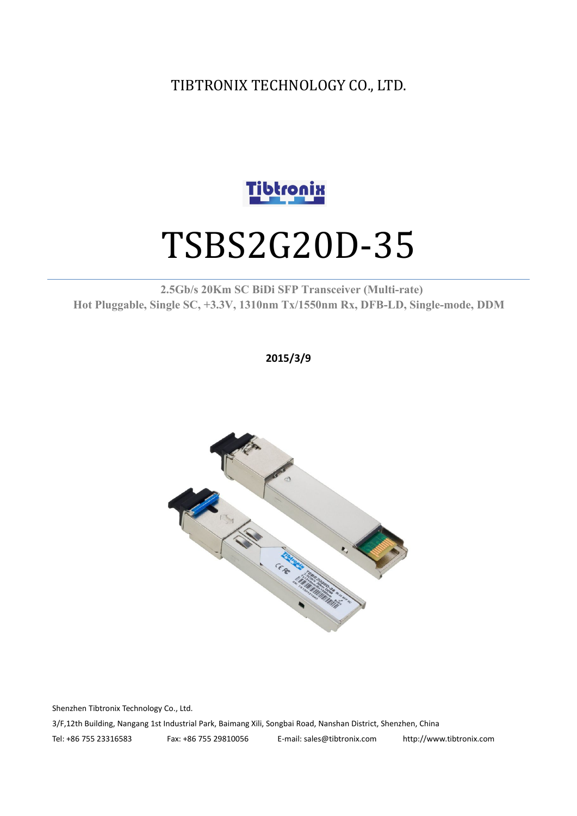TIBTRONIX TECHNOLOGY CO., LTD.



# TSBS2G20D-35

#### **2.5Gb/s 20Km SC BiDi SFP Transceiver (Multi-rate) Hot Pluggable, Single SC, +3.3V, 1310nm Tx/1550nm Rx, DFB-LD,Single-mode, DDM**

**2015/3/9**



Shenzhen Tibtronix Technology Co., Ltd. 3/F,12th Building, Nangang 1st Industrial Park, Baimang Xili, Songbai Road, Nanshan District, Shenzhen, China Tel: +86 755 23316583 Fax: +86 755 29810056 E-mail: sales@tibtronix.com http://www.tibtronix.com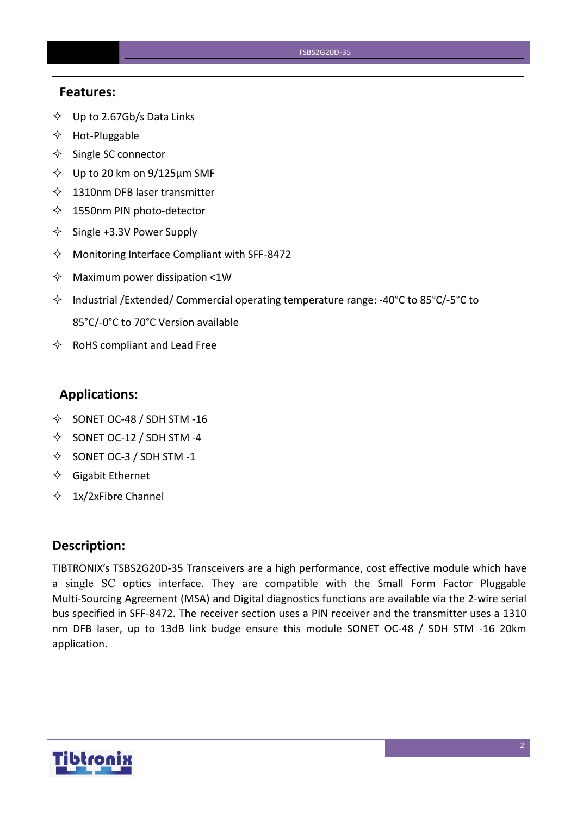#### **Features:**

- $\diamondsuit$  Up to 2.67Gb/s Data Links
- $\Leftrightarrow$  Hot-Pluggable
- $\Leftrightarrow$  Single SC connector
- $\diamond$  Up to 20 km on 9/125 µm SMF
- $\lozenge$  1310nm DFB laser transmitter
- $\diamondsuit$  1550nm PIN photo-detector
- $\diamond$  Single +3.3V Power Supply
- $\Diamond$  Monitoring Interface Compliant with SFF-8472
- $\Diamond$  Maximum power dissipation <1W
- Industrial /Extended/ Commercial operating temperature range: -40°C to 85°C/-5°C to 85°C/-0°C to 70°C Version available
- $\Leftrightarrow$  RoHS compliant and Lead Free

#### **Applications:**

- $\diamond$  SONET OC-48 / SDH STM -16
- $\diamond$  SONET OC-12 / SDH STM -4
- $\diamond$  SONET OC-3 / SDH STM -1
- $\Diamond$  Gigabit Ethernet
- $\div$  1x/2xFibre Channel

#### **Description:**

TIBTRONIX's TSBS2G20D-35 Transceivers are a high performance, cost effective module which have a single SC optics interface. They are compatible with the Small Form Factor Pluggable Multi-Sourcing Agreement (MSA) and Digital diagnostics functions are available via the 2-wire serial bus specified in SFF-8472. The receiver section uses a PIN receiver and the transmitter uses a 1310 nm DFB laser, up to 13dB link budge ensure this module SONET OC-48 / SDH STM -16 20km application.

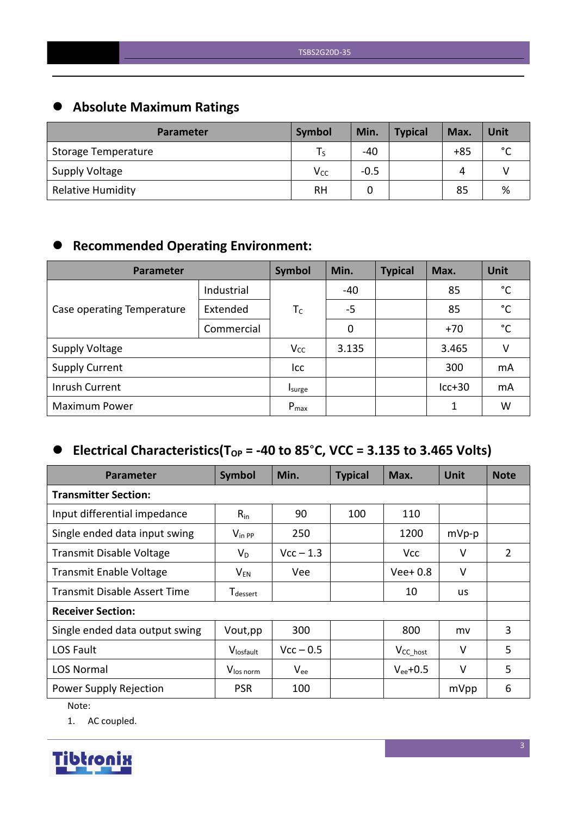# **Absolute Maximum Ratings**

| <b>Parameter</b>         | Symbol   | Min.   | <b>Typical</b> | Max.  | Unit        |
|--------------------------|----------|--------|----------------|-------|-------------|
| Storage Temperature      | l S      | -40    |                | $+85$ | $\sim$<br>◡ |
| Supply Voltage           | $V_{CC}$ | $-0.5$ |                | 4     |             |
| <b>Relative Humidity</b> | RH       |        |                | 85    | %           |

# **Recommended Operating Environment:**

| Parameter                  |            | Symbol    | Min.  | <b>Typical</b> | Max.     | <b>Unit</b>  |
|----------------------------|------------|-----------|-------|----------------|----------|--------------|
|                            | Industrial |           | -40   |                | 85       | °C           |
| Case operating Temperature | Extended   | $T_C$     | $-5$  |                | 85       | $^{\circ}$ C |
|                            | Commercial |           | 0     |                | $+70$    | $^{\circ}$ C |
| <b>Supply Voltage</b>      |            | $V_{CC}$  | 3.135 |                | 3.465    | V            |
| <b>Supply Current</b>      |            | Icc       |       |                | 300      | mA           |
| Inrush Current             |            | Isurge    |       |                | $lcc+30$ | mA           |
| <b>Maximum Power</b>       |            | $P_{max}$ |       |                | 1        | W            |

# $\bullet$  Electrical Characteristics(T<sub>OP</sub> = -40 to 85°C, VCC = 3.135 to 3.465 Volts)

| <b>Parameter</b>                    | Symbol                      | Min.        | <b>Typical</b> | Max.           | <b>Unit</b> | <b>Note</b> |
|-------------------------------------|-----------------------------|-------------|----------------|----------------|-------------|-------------|
| <b>Transmitter Section:</b>         |                             |             |                |                |             |             |
| Input differential impedance        | $R_{in}$                    | 90          | 100            | 110            |             |             |
| Single ended data input swing       | $V_{\text{in PP}}$          | 250         |                | 1200           | $mVp-p$     |             |
| <b>Transmit Disable Voltage</b>     | $V_D$                       | $Vcc - 1.3$ |                | <b>Vcc</b>     | V           | 2           |
| <b>Transmit Enable Voltage</b>      | $V_{EN}$                    | Vee         |                | $Vee+0.8$      | $\vee$      |             |
| <b>Transmit Disable Assert Time</b> | <b>T</b> <sub>dessert</sub> |             |                | 10             | us          |             |
| <b>Receiver Section:</b>            |                             |             |                |                |             |             |
| Single ended data output swing      | Vout, pp                    | 300         |                | 800            | mv          | 3           |
| LOS Fault                           | Vlosfault                   | $Vcc - 0.5$ |                | $V_{CC\_host}$ | $\vee$      | 5           |
| <b>LOS Normal</b>                   | V <sub>los norm</sub>       | $V_{ee}$    |                | $V_{ee}$ +0.5  | $\vee$      | 5           |
| Power Supply Rejection              | <b>PSR</b>                  | 100         |                |                | mVpp        | 6           |

Note:

1. AC coupled.

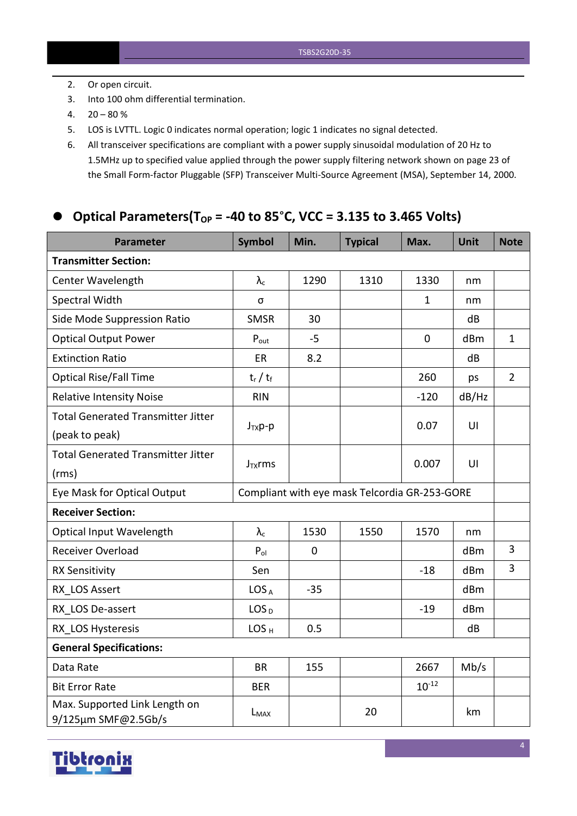- 2. Or open circuit.
- 3. Into 100 ohm differential termination.
- $4. \quad 20 80 \%$
- 5. LOS is LVTTL. Logic 0 indicates normal operation; logic 1 indicates no signal detected.
- 6. All transceiver specifications are compliant with a power supply sinusoidal modulation of 20 Hz to 1.5MHz up to specified value applied through the powersupply filtering network shown on page 23 of the Small Form-factor Pluggable (SFP) Transceiver Multi-Source Agreement (MSA), September 14, 2000.

#### **Optical Parameters(TOP = -40 to 85**°**C, VCC = 3.135 to 3.465 Volts)**

| <b>Parameter</b>                                     | <b>Symbol</b>     | Min.        | <b>Typical</b>                                | Max.         | Unit  | <b>Note</b>    |
|------------------------------------------------------|-------------------|-------------|-----------------------------------------------|--------------|-------|----------------|
| <b>Transmitter Section:</b>                          |                   |             |                                               |              |       |                |
| Center Wavelength                                    | $\lambda_{\rm c}$ | 1290        | 1310                                          | 1330         | nm    |                |
| Spectral Width                                       | σ                 |             |                                               | $\mathbf{1}$ | nm    |                |
| Side Mode Suppression Ratio                          | <b>SMSR</b>       | 30          |                                               |              | dB    |                |
| <b>Optical Output Power</b>                          | $P_{\text{out}}$  | $-5$        |                                               | $\pmb{0}$    | dBm   | $\mathbf{1}$   |
| <b>Extinction Ratio</b>                              | ER                | 8.2         |                                               |              | dB    |                |
| <b>Optical Rise/Fall Time</b>                        | $t_r / t_f$       |             |                                               | 260          | ps    | $\overline{2}$ |
| <b>Relative Intensity Noise</b>                      | <b>RIN</b>        |             |                                               | $-120$       | dB/Hz |                |
| <b>Total Generated Transmitter Jitter</b>            |                   |             |                                               |              |       |                |
| (peak to peak)                                       | $J_{TX}p-p$       |             |                                               | 0.07         | UI    |                |
| <b>Total Generated Transmitter Jitter</b>            |                   |             |                                               | 0.007        | U     |                |
| (rms)                                                | $J_{TX}$ rms      |             |                                               |              |       |                |
| Eye Mask for Optical Output                          |                   |             | Compliant with eye mask Telcordia GR-253-GORE |              |       |                |
| <b>Receiver Section:</b>                             |                   |             |                                               |              |       |                |
| <b>Optical Input Wavelength</b>                      | $\lambda_c$       | 1530        | 1550                                          | 1570         | nm    |                |
| Receiver Overload                                    | $P_{ol}$          | $\mathbf 0$ |                                               |              | dBm   | $\overline{3}$ |
| <b>RX Sensitivity</b>                                | Sen               |             |                                               | $-18$        | dBm   | $\overline{3}$ |
| RX LOS Assert                                        | LOS <sub>A</sub>  | $-35$       |                                               |              | dBm   |                |
| RX LOS De-assert                                     | LOS <sub>D</sub>  |             |                                               | $-19$        | dBm   |                |
| RX LOS Hysteresis                                    | LOS <sub>H</sub>  | 0.5         |                                               |              | dB    |                |
| <b>General Specifications:</b>                       |                   |             |                                               |              |       |                |
| Data Rate                                            | <b>BR</b>         | 155         |                                               | 2667         | Mb/s  |                |
| <b>Bit Error Rate</b>                                | <b>BER</b>        |             |                                               | $10^{-12}$   |       |                |
| Max. Supported Link Length on<br>9/125µm SMF@2.5Gb/s | L <sub>MAX</sub>  |             | 20                                            |              | km    |                |

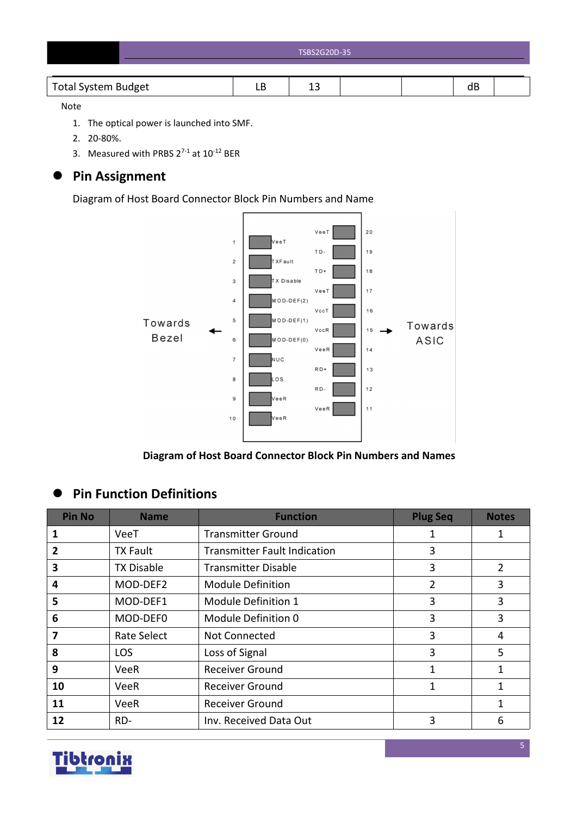| TSBS2G20D-35 |
|--------------|
|              |

#### Note

- 1. The optical power is launched into SMF.
- 2. 20-80%.
- 3. Measured with PRBS  $2^{7-1}$  at  $10^{-12}$  BER

# **Pin Assignment**

Diagram of Host Board Connector Block Pin Numbers and Name



**Diagram of Host Board Connector Block Pin Numbers and Names**

# **Pin Function Definitions**

| <b>Pin No</b>           | <b>Name</b>       | <b>Function</b>                     | <b>Plug Seq</b> | <b>Notes</b>   |
|-------------------------|-------------------|-------------------------------------|-----------------|----------------|
|                         | VeeT              | <b>Transmitter Ground</b>           | 1               | 1              |
| 2                       | <b>TX Fault</b>   | <b>Transmitter Fault Indication</b> | 3               |                |
| 3                       | <b>TX Disable</b> | <b>Transmitter Disable</b>          | 3               | $\overline{2}$ |
| 4                       | MOD-DEF2          | <b>Module Definition</b>            | 2               | 3              |
| 5                       | MOD-DEF1          | Module Definition 1                 | 3               | 3              |
| 6                       | MOD-DEF0          | Module Definition 0                 | 3               | 3              |
| $\overline{\mathbf{z}}$ | Rate Select       | Not Connected                       | 3               | 4              |
| 8                       | LOS               | Loss of Signal                      | 3               | 5              |
| 9                       | <b>VeeR</b>       | <b>Receiver Ground</b>              | 1               | $\mathbf{1}$   |
| 10                      | VeeR              | <b>Receiver Ground</b>              | 1               | 1              |
| 11                      | <b>VeeR</b>       | <b>Receiver Ground</b>              |                 | $\mathbf{1}$   |
| 12                      | RD-               | Inv. Received Data Out              | 3               | 6              |

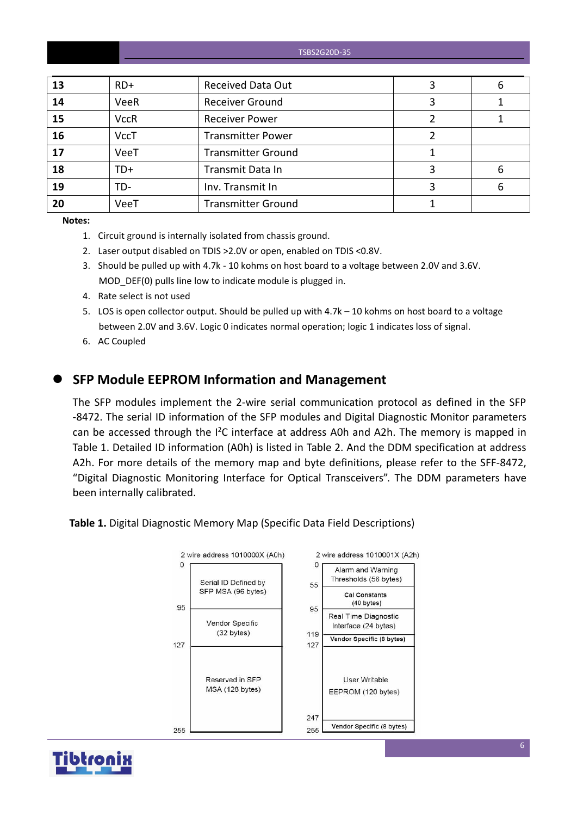| TSBS2G20D-35 |  |
|--------------|--|
|--------------|--|

| 13 | $RD+$       | <b>Received Data Out</b>  | 6 |
|----|-------------|---------------------------|---|
| 14 | <b>VeeR</b> | <b>Receiver Ground</b>    |   |
| 15 | <b>VccR</b> | <b>Receiver Power</b>     |   |
| 16 | <b>VccT</b> | <b>Transmitter Power</b>  |   |
| 17 | VeeT        | <b>Transmitter Ground</b> |   |
| 18 | TD+         | Transmit Data In          | 6 |
| 19 | TD-         | Inv. Transmit In          | 6 |
| 20 | VeeT        | <b>Transmitter Ground</b> |   |

**Notes:**

- 1. Circuit ground is internally isolated from chassis ground.
- 2. Laser output disabled on TDIS >2.0V or open, enabled on TDIS <0.8V.
- 3. Should be pulled up with 4.7k 10 kohms on host board to a voltage between 2.0V and 3.6V. MOD DEF(0) pulls line low to indicate module is plugged in.
- 4. Rate select is not used
- 5. LOS is open collector output. Should be pulled up with 4.7k 10 kohms on host board to a voltage between 2.0V and 3.6V. Logic 0 indicates normal operation; logic 1 indicates loss of signal.
- 6. AC Coupled

#### **SFP Module EEPROM Information and Management**

The SFP modules implement the 2-wire serial communication protocol as defined in the SFP -8472. The serial ID information of the SFP modules and Digital Diagnostic Monitor parameters can be accessed through the  $I^2C$  interface at address A0h and A2h. The memory is mapped in Table 1. Detailed ID information (A0h) is listed in Table 2. And the DDM specification at address A2h. For more details of the memory map and byte definitions, please refer to the SFF-8472, "Digital Diagnostic Monitoring Interface for Optical Transceivers". The DDM parameters have been internally calibrated.

**Table 1.** Digital Diagnostic Memory Map (Specific Data Field Descriptions)



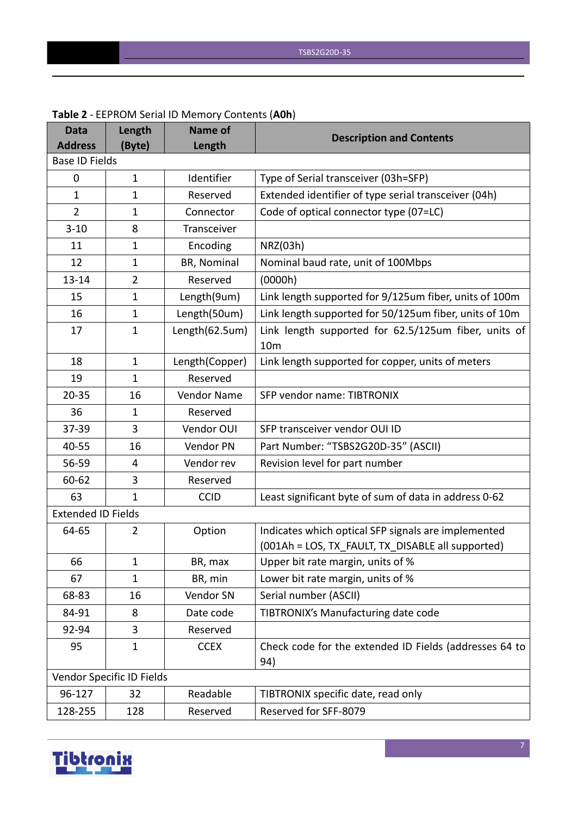| <b>Data</b>               | Length                    | <b>Name of</b> | <b>Description and Contents</b>                                         |
|---------------------------|---------------------------|----------------|-------------------------------------------------------------------------|
| <b>Address</b>            | (Byte)                    | Length         |                                                                         |
| <b>Base ID Fields</b>     |                           |                |                                                                         |
| $\mathbf 0$               | $\mathbf{1}$              | Identifier     | Type of Serial transceiver (03h=SFP)                                    |
| $\mathbf{1}$              | $\mathbf{1}$              | Reserved       | Extended identifier of type serial transceiver (04h)                    |
| $\overline{2}$            | $\mathbf{1}$              | Connector      | Code of optical connector type (07=LC)                                  |
| $3 - 10$                  | 8                         | Transceiver    |                                                                         |
| 11                        | $\mathbf{1}$              | Encoding       | NRZ(03h)                                                                |
| 12                        | $\mathbf{1}$              | BR, Nominal    | Nominal baud rate, unit of 100Mbps                                      |
| $13 - 14$                 | $\overline{2}$            | Reserved       | (0000h)                                                                 |
| 15                        | $\mathbf 1$               | Length(9um)    | Link length supported for 9/125um fiber, units of 100m                  |
| 16                        | $\mathbf{1}$              | Length(50um)   | Link length supported for 50/125um fiber, units of 10m                  |
| 17                        | $\mathbf 1$               | Length(62.5um) | Link length supported for 62.5/125um fiber, units of<br>10 <sub>m</sub> |
| 18                        | $\mathbf{1}$              | Length(Copper) | Link length supported for copper, units of meters                       |
| 19                        | $\mathbf{1}$              | Reserved       |                                                                         |
| $20 - 35$                 | 16                        | Vendor Name    | SFP vendor name: TIBTRONIX                                              |
| 36                        | 1                         | Reserved       |                                                                         |
| 37-39                     | 3                         | Vendor OUI     | SFP transceiver vendor OUI ID                                           |
| 40-55                     | 16                        | Vendor PN      | Part Number: "TSBS2G20D-35" (ASCII)                                     |
| 56-59                     | 4                         | Vendor rev     | Revision level for part number                                          |
| 60-62                     | 3                         | Reserved       |                                                                         |
| 63                        | $\mathbf{1}$              | <b>CCID</b>    | Least significant byte of sum of data in address 0-62                   |
| <b>Extended ID Fields</b> |                           |                |                                                                         |
| 64-65                     | 2                         | Option         | Indicates which optical SFP signals are implemented                     |
|                           |                           |                | (001Ah = LOS, TX_FAULT, TX_DISABLE all supported)                       |
| 66                        | $\mathbf{1}$              | BR, max        | Upper bit rate margin, units of %                                       |
| 67                        | $\mathbf{1}$              | BR, min        | Lower bit rate margin, units of %                                       |
| 68-83                     | 16                        | Vendor SN      | Serial number (ASCII)                                                   |
| 84-91                     | 8                         | Date code      | TIBTRONIX's Manufacturing date code                                     |
| 92-94                     | 3                         | Reserved       |                                                                         |
| 95                        | $\mathbf{1}$              | <b>CCEX</b>    | Check code for the extended ID Fields (addresses 64 to<br>94)           |
|                           | Vendor Specific ID Fields |                |                                                                         |
| 96-127                    | 32                        | Readable       | TIBTRONIX specific date, read only                                      |
| 128-255                   | 128                       | Reserved       | Reserved for SFF-8079                                                   |

#### **Table 2** - EEPROM Serial ID Memory Contents (**A0h**)

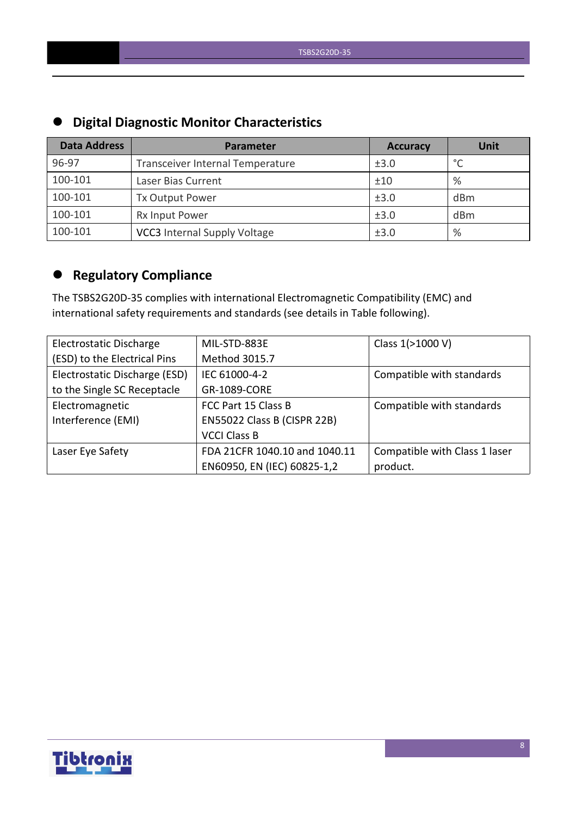| <b>PINISH PIUNISTU INCINOI CHUIUCCI DUCTU</b> |                                     |                 |                 |  |  |  |  |
|-----------------------------------------------|-------------------------------------|-----------------|-----------------|--|--|--|--|
| <b>Data Address</b>                           | Parameter                           | <b>Accuracy</b> | <b>Unit</b>     |  |  |  |  |
| 96-97                                         | Transceiver Internal Temperature    | ±3.0            | $\circ$         |  |  |  |  |
| 100-101                                       | Laser Bias Current                  | ±10             | %               |  |  |  |  |
| 100-101                                       | <b>Tx Output Power</b>              | ±3.0            | dBm             |  |  |  |  |
| 100-101                                       | Rx Input Power                      | ±3.0            | d <sub>Bm</sub> |  |  |  |  |
| 100-101                                       | <b>VCC3</b> Internal Supply Voltage | ±3.0            | %               |  |  |  |  |

# **Digital Diagnostic Monitor Characteristics**

# **Regulatory Compliance**

The TSBS2G20D-35 complies with international Electromagnetic Compatibility (EMC) and international safety requirements and standards (see details in Table following).

| Electrostatic Discharge       | MIL-STD-883E                  | Class 1(>1000 V)              |
|-------------------------------|-------------------------------|-------------------------------|
| (ESD) to the Electrical Pins  | Method 3015.7                 |                               |
| Electrostatic Discharge (ESD) | IEC 61000-4-2                 | Compatible with standards     |
| to the Single SC Receptacle   | GR-1089-CORE                  |                               |
| Electromagnetic               | FCC Part 15 Class B           | Compatible with standards     |
| Interference (EMI)            | EN55022 Class B (CISPR 22B)   |                               |
|                               | <b>VCCI Class B</b>           |                               |
| Laser Eye Safety              | FDA 21CFR 1040.10 and 1040.11 | Compatible with Class 1 laser |
|                               | EN60950, EN (IEC) 60825-1,2   | product.                      |

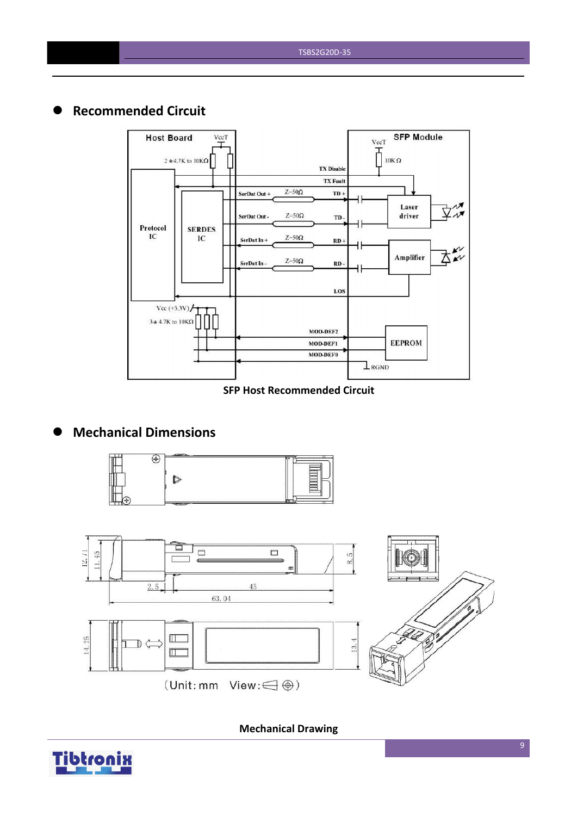

# **Recommended Circuit**



#### **SFP Host Recommended Circuit**

# **Mechanical Dimensions**





**Mechanical Drawing**